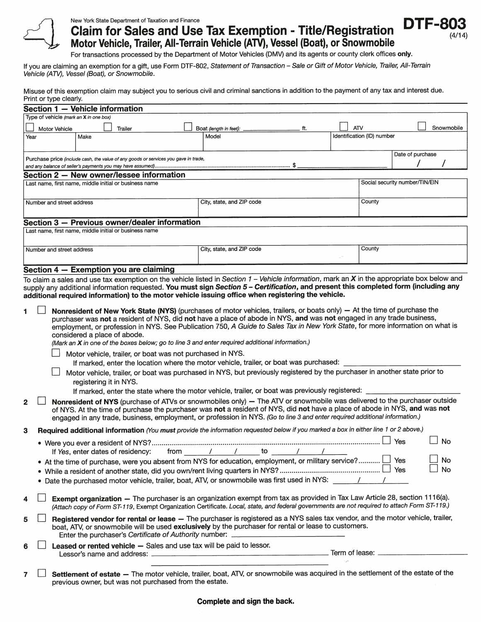

## New York State Department of Taxation and Finance

|                |                           | New York State Department of Taxation and Finance                                                  |                                                                                                                                                                                                                                                                                                                                                                                                                                                                                                                                                                                                                                                                                                                                                                                    |     |            |                                |                  |            |
|----------------|---------------------------|----------------------------------------------------------------------------------------------------|------------------------------------------------------------------------------------------------------------------------------------------------------------------------------------------------------------------------------------------------------------------------------------------------------------------------------------------------------------------------------------------------------------------------------------------------------------------------------------------------------------------------------------------------------------------------------------------------------------------------------------------------------------------------------------------------------------------------------------------------------------------------------------|-----|------------|--------------------------------|------------------|------------|
|                |                           |                                                                                                    | <b>Claim for Sales and Use Tax Exemption - Title/Registration</b><br>Motor Vehicle, Trailer, All-Terrain Vehicle (ATV), Vessel (Boat), or Snowmobile                                                                                                                                                                                                                                                                                                                                                                                                                                                                                                                                                                                                                               |     |            |                                | DTF-8            |            |
|                |                           | Vehicle (ATV), Vessel (Boat), or Snowmobile.                                                       | For transactions processed by the Department of Motor Vehicles (DMV) and its agents or county clerk offices only.<br>If you are claiming an exemption for a gift, use Form DTF-802, Statement of Transaction - Sale or Gift of Motor Vehicle, Trailer, All-Terrain                                                                                                                                                                                                                                                                                                                                                                                                                                                                                                                 |     |            |                                |                  |            |
|                | Print or type clearly.    |                                                                                                    | Misuse of this exemption claim may subject you to serious civil and criminal sanctions in addition to the payment of any tax and interest due.                                                                                                                                                                                                                                                                                                                                                                                                                                                                                                                                                                                                                                     |     |            |                                |                  |            |
|                |                           | Section 1 - Vehicle information                                                                    |                                                                                                                                                                                                                                                                                                                                                                                                                                                                                                                                                                                                                                                                                                                                                                                    |     |            |                                |                  |            |
|                |                           | Type of vehicle (mark an X in one box)                                                             |                                                                                                                                                                                                                                                                                                                                                                                                                                                                                                                                                                                                                                                                                                                                                                                    |     |            |                                |                  |            |
| Year           | Motor Vehicle             | Trailer<br>Make                                                                                    | Boat (length in feet):<br>Model                                                                                                                                                                                                                                                                                                                                                                                                                                                                                                                                                                                                                                                                                                                                                    | ft. | <b>ATV</b> | Identification (ID) number     |                  | Snowmobile |
|                |                           |                                                                                                    |                                                                                                                                                                                                                                                                                                                                                                                                                                                                                                                                                                                                                                                                                                                                                                                    |     |            |                                |                  |            |
|                |                           | Purchase price (include cash, the value of any goods or services you gave in trade,                |                                                                                                                                                                                                                                                                                                                                                                                                                                                                                                                                                                                                                                                                                                                                                                                    |     |            |                                | Date of purchase |            |
|                |                           |                                                                                                    |                                                                                                                                                                                                                                                                                                                                                                                                                                                                                                                                                                                                                                                                                                                                                                                    |     |            |                                |                  |            |
|                |                           | Section 2 - New owner/lessee information<br>Last name, first name, middle initial or business name |                                                                                                                                                                                                                                                                                                                                                                                                                                                                                                                                                                                                                                                                                                                                                                                    |     |            | Social security number/TIN/EIN |                  |            |
|                |                           |                                                                                                    |                                                                                                                                                                                                                                                                                                                                                                                                                                                                                                                                                                                                                                                                                                                                                                                    |     |            |                                |                  |            |
|                | Number and street address |                                                                                                    | City, state, and ZIP code                                                                                                                                                                                                                                                                                                                                                                                                                                                                                                                                                                                                                                                                                                                                                          |     |            | County                         |                  |            |
|                |                           | Section 3 - Previous owner/dealer information                                                      |                                                                                                                                                                                                                                                                                                                                                                                                                                                                                                                                                                                                                                                                                                                                                                                    |     |            |                                |                  |            |
|                |                           | Last name, first name, middle initial or business name                                             |                                                                                                                                                                                                                                                                                                                                                                                                                                                                                                                                                                                                                                                                                                                                                                                    |     |            |                                |                  |            |
|                | Number and street address |                                                                                                    | City, state, and ZIP code                                                                                                                                                                                                                                                                                                                                                                                                                                                                                                                                                                                                                                                                                                                                                          |     |            | County                         |                  |            |
|                |                           | Section 4 - Exemption you are claiming                                                             |                                                                                                                                                                                                                                                                                                                                                                                                                                                                                                                                                                                                                                                                                                                                                                                    |     |            |                                |                  |            |
| 1              |                           |                                                                                                    | To claim a sales and use tax exemption on the vehicle listed in Section $1$ – Vehicle information, mark an X in the appropriate box below and<br>supply any additional information requested. You must sign Section 5 - Certification, and present this completed form (including any<br>additional required information) to the motor vehicle issuing office when registering the vehicle.<br>Nonresident of New York State (NYS) (purchases of motor vehicles, trailers, or boats only) - At the time of purchase the<br>purchaser was not a resident of NYS, did not have a place of abode in NYS, and was not engaged in any trade business,<br>employment, or profession in NYS. See Publication 750, A Guide to Sales Tax in New York State, for more information on what is |     |            |                                |                  |            |
|                |                           | considered a place of abode.                                                                       | (Mark an X in one of the boxes below; go to line 3 and enter required additional information.)                                                                                                                                                                                                                                                                                                                                                                                                                                                                                                                                                                                                                                                                                     |     |            |                                |                  |            |
|                |                           | Motor vehicle, trailer, or boat was not purchased in NYS.                                          | If marked, enter the location where the motor vehicle, trailer, or boat was purchased:                                                                                                                                                                                                                                                                                                                                                                                                                                                                                                                                                                                                                                                                                             |     |            |                                |                  |            |
|                |                           | registering it in NYS.                                                                             | Motor vehicle, trailer, or boat was purchased in NYS, but previously registered by the purchaser in another state prior to                                                                                                                                                                                                                                                                                                                                                                                                                                                                                                                                                                                                                                                         |     |            |                                |                  |            |
|                |                           |                                                                                                    | If marked, enter the state where the motor vehicle, trailer, or boat was previously registered: ________                                                                                                                                                                                                                                                                                                                                                                                                                                                                                                                                                                                                                                                                           |     |            |                                |                  |            |
| $\overline{2}$ |                           |                                                                                                    | Nonresident of NYS (purchase of ATVs or snowmobiles only) - The ATV or snowmobile was delivered to the purchaser outside<br>of NYS. At the time of purchase the purchaser was not a resident of NYS, did not have a place of abode in NYS, and was not<br>engaged in any trade, business, employment, or profession in NYS. (Go to line 3 and enter required additional information.)                                                                                                                                                                                                                                                                                                                                                                                              |     |            |                                |                  |            |
| 3              |                           |                                                                                                    | Required additional information (You must provide the information requested below if you marked a box in either line 1 or 2 above.)                                                                                                                                                                                                                                                                                                                                                                                                                                                                                                                                                                                                                                                |     |            |                                |                  |            |
|                |                           | If Yes, enter dates of residency:                                                                  | from $/$ $/$ to $/$                                                                                                                                                                                                                                                                                                                                                                                                                                                                                                                                                                                                                                                                                                                                                                |     |            |                                |                  | No         |
|                |                           |                                                                                                    | • At the time of purchase, were you absent from NYS for education, employment, or military service? $\Box$ Yes                                                                                                                                                                                                                                                                                                                                                                                                                                                                                                                                                                                                                                                                     |     |            |                                |                  | No<br>No   |
|                |                           |                                                                                                    | • Date the purchased motor vehicle, trailer, boat, ATV, or snowmobile was first used in NYS: y and the function                                                                                                                                                                                                                                                                                                                                                                                                                                                                                                                                                                                                                                                                    |     |            |                                |                  |            |
| 4              |                           |                                                                                                    | Exempt organization - The purchaser is an organization exempt from tax as provided in Tax Law Article 28, section 1116(a).<br>(Attach copy of Form ST-119, Exempt Organization Certificate. Local, state, and federal governments are not required to attach Form ST-119.)                                                                                                                                                                                                                                                                                                                                                                                                                                                                                                         |     |            |                                |                  |            |
| 5              |                           |                                                                                                    | Registered vendor for rental or lease - The purchaser is registered as a NYS sales tax vendor, and the motor vehicle, trailer,<br>boat, ATV, or snowmobile will be used exclusively by the purchaser for rental or lease to customers.<br>Enter the purchaser's Certificate of Authority number: _________________________                                                                                                                                                                                                                                                                                                                                                                                                                                                         |     |            |                                |                  |            |
| 6              |                           |                                                                                                    | Leased or rented vehicle - Sales and use tax will be paid to lessor.                                                                                                                                                                                                                                                                                                                                                                                                                                                                                                                                                                                                                                                                                                               |     |            |                                |                  |            |
|                |                           |                                                                                                    | Settlement of estate - The motor vehicle, trailer, boat, ATV, or snowmobile was acquired in the settlement of the estate of the                                                                                                                                                                                                                                                                                                                                                                                                                                                                                                                                                                                                                                                    |     |            |                                |                  |            |

Complete and sign the back.

previous owner, but was not purchased from the estate.